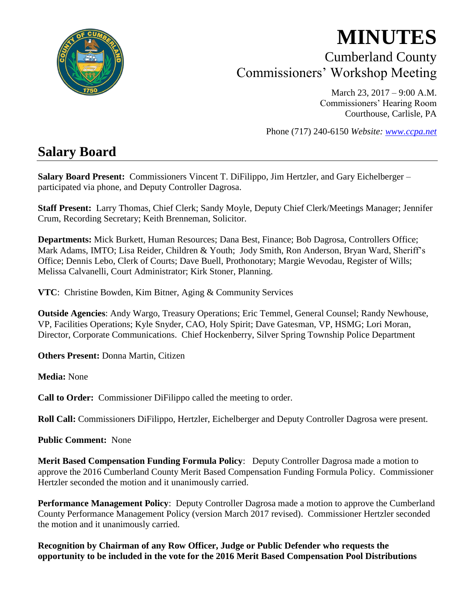

# **MINUTES** Cumberland County Commissioners' Workshop Meeting

March 23, 2017 – 9:00 A.M. Commissioners' Hearing Room Courthouse, Carlisle, PA

Phone (717) 240-6150 *Website: [www.ccpa.net](http://www.ccpa.net/)*

# **Salary Board**

**Salary Board Present:** Commissioners Vincent T. DiFilippo, Jim Hertzler, and Gary Eichelberger – participated via phone, and Deputy Controller Dagrosa.

**Staff Present:** Larry Thomas, Chief Clerk; Sandy Moyle, Deputy Chief Clerk/Meetings Manager; Jennifer Crum, Recording Secretary; Keith Brenneman, Solicitor.

**Departments:** Mick Burkett, Human Resources; Dana Best, Finance; Bob Dagrosa, Controllers Office; Mark Adams, IMTO; Lisa Reider, Children & Youth; Jody Smith, Ron Anderson, Bryan Ward, Sheriff's Office; Dennis Lebo, Clerk of Courts; Dave Buell, Prothonotary; Margie Wevodau, Register of Wills; Melissa Calvanelli, Court Administrator; Kirk Stoner, Planning.

**VTC**: Christine Bowden, Kim Bitner, Aging & Community Services

**Outside Agencies**: Andy Wargo, Treasury Operations; Eric Temmel, General Counsel; Randy Newhouse, VP, Facilities Operations; Kyle Snyder, CAO, Holy Spirit; Dave Gatesman, VP, HSMG; Lori Moran, Director, Corporate Communications. Chief Hockenberry, Silver Spring Township Police Department

**Others Present:** Donna Martin, Citizen

**Media:** None

**Call to Order:** Commissioner DiFilippo called the meeting to order.

**Roll Call:** Commissioners DiFilippo, Hertzler, Eichelberger and Deputy Controller Dagrosa were present.

**Public Comment:** None

**Merit Based Compensation Funding Formula Policy**: Deputy Controller Dagrosa made a motion to approve the 2016 Cumberland County Merit Based Compensation Funding Formula Policy. Commissioner Hertzler seconded the motion and it unanimously carried.

**Performance Management Policy**: Deputy Controller Dagrosa made a motion to approve the Cumberland County Performance Management Policy (version March 2017 revised). Commissioner Hertzler seconded the motion and it unanimously carried.

**Recognition by Chairman of any Row Officer, Judge or Public Defender who requests the opportunity to be included in the vote for the 2016 Merit Based Compensation Pool Distributions**